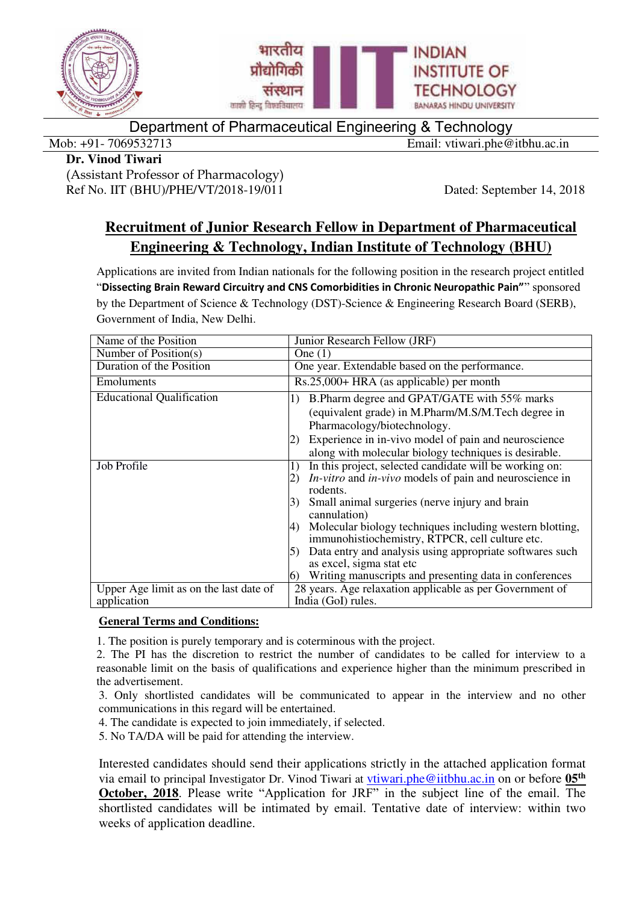

Department of Pharmaceutical Engineering & Technology

Mob: +91- 7069532713 Email: vtiwari.phe@itbhu.ac.in

### **Dr. Vinod Tiwari**

(Assistant Professor of Pharmacology) Ref No. IIT (BHU)/PHE/VT/2018-19/011 Dated: September 14, 2018

# **Recruitment of Junior Research Fellow in Department of Pharmaceutical Engineering & Technology, Indian Institute of Technology (BHU)**

Applications are invited from Indian nationals for the following position in the research project entitled "**Dissecting Brain Reward Circuitry and CNS Comorbidities in Chronic Neuropathic Pain"**" sponsored by the Department of Science & Technology (DST)-Science & Engineering Research Board (SERB), Government of India, New Delhi.

| Name of the Position                   | Junior Research Fellow (JRF)                                                                                |  |  |  |
|----------------------------------------|-------------------------------------------------------------------------------------------------------------|--|--|--|
| Number of Position(s)                  | One $(1)$                                                                                                   |  |  |  |
| Duration of the Position               | One year. Extendable based on the performance.                                                              |  |  |  |
| <b>Emoluments</b>                      | Rs.25,000+ HRA (as applicable) per month                                                                    |  |  |  |
| <b>Educational Qualification</b>       | B. Pharm degree and GPAT/GATE with 55% marks<br>1)<br>(equivalent grade) in M.Pharm/M.S/M.Tech degree in    |  |  |  |
|                                        | Pharmacology/biotechnology.                                                                                 |  |  |  |
|                                        | Experience in in-vivo model of pain and neuroscience                                                        |  |  |  |
|                                        | along with molecular biology techniques is desirable.                                                       |  |  |  |
| Job Profile                            | In this project, selected candidate will be working on:<br>1)                                               |  |  |  |
|                                        | <i>In-vitro</i> and <i>in-vivo</i> models of pain and neuroscience in<br>$\mathbf{2}$                       |  |  |  |
|                                        | rodents.                                                                                                    |  |  |  |
|                                        | Small animal surgeries (nerve injury and brain<br>cannulation)                                              |  |  |  |
|                                        | Molecular biology techniques including western blotting,<br>immunohistiochemistry, RTPCR, cell culture etc. |  |  |  |
|                                        | Data entry and analysis using appropriate softwares such                                                    |  |  |  |
|                                        | as excel, sigma stat etc                                                                                    |  |  |  |
|                                        | Writing manuscripts and presenting data in conferences<br>$\omega$                                          |  |  |  |
| Upper Age limit as on the last date of | 28 years. Age relaxation applicable as per Government of                                                    |  |  |  |
| application                            | India (GoI) rules.                                                                                          |  |  |  |

## **General Terms and Conditions:**

1. The position is purely temporary and is coterminous with the project.

2. The PI has the discretion to restrict the number of candidates to be called for interview to a reasonable limit on the basis of qualifications and experience higher than the minimum prescribed in the advertisement.

3. Only shortlisted candidates will be communicated to appear in the interview and no other communications in this regard will be entertained.

4. The candidate is expected to join immediately, if selected.

5. No TA/DA will be paid for attending the interview.

Interested candidates should send their applications strictly in the attached application format via email to principal Investigator Dr. Vinod Tiwari at [vtiwari.phe@iitbhu.ac.in](mailto:vtiwari.phe@iitbhu.ac.in) on or before **05th October, 2018**. Please write "Application for JRF" in the subject line of the email. The shortlisted candidates will be intimated by email. Tentative date of interview: within two weeks of application deadline.